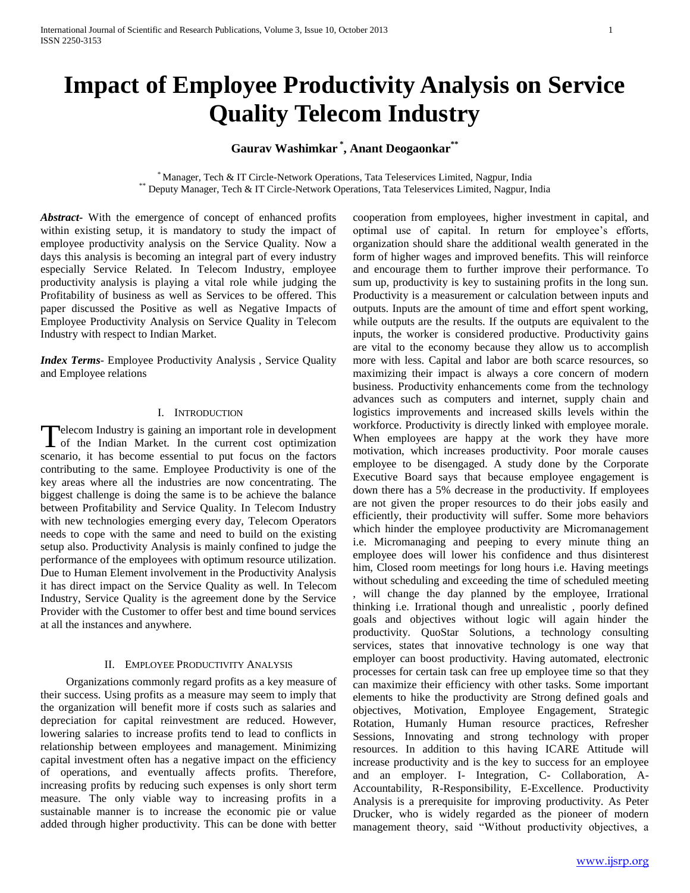# **Impact of Employee Productivity Analysis on Service Quality Telecom Industry**

# **Gaurav Washimkar \* , Anant Deogaonkar\*\***

\* Manager, Tech & IT Circle-Network Operations, Tata Teleservices Limited, Nagpur, India \*\* Deputy Manager, Tech & IT Circle-Network Operations, Tata Teleservices Limited, Nagpur, India

*Abstract***-** With the emergence of concept of enhanced profits within existing setup, it is mandatory to study the impact of employee productivity analysis on the Service Quality. Now a days this analysis is becoming an integral part of every industry especially Service Related. In Telecom Industry, employee productivity analysis is playing a vital role while judging the Profitability of business as well as Services to be offered. This paper discussed the Positive as well as Negative Impacts of Employee Productivity Analysis on Service Quality in Telecom Industry with respect to Indian Market.

*Index Terms*- Employee Productivity Analysis , Service Quality and Employee relations

#### I. INTRODUCTION

Telecom Industry is gaining an important role in development Telecom Industry is gaining an important role in development<br>of the Indian Market. In the current cost optimization scenario, it has become essential to put focus on the factors contributing to the same. Employee Productivity is one of the key areas where all the industries are now concentrating. The biggest challenge is doing the same is to be achieve the balance between Profitability and Service Quality. In Telecom Industry with new technologies emerging every day, Telecom Operators needs to cope with the same and need to build on the existing setup also. Productivity Analysis is mainly confined to judge the performance of the employees with optimum resource utilization. Due to Human Element involvement in the Productivity Analysis it has direct impact on the Service Quality as well. In Telecom Industry, Service Quality is the agreement done by the Service Provider with the Customer to offer best and time bound services at all the instances and anywhere.

#### II. EMPLOYEE PRODUCTIVITY ANALYSIS

 Organizations commonly regard profits as a key measure of their success. Using profits as a measure may seem to imply that the organization will benefit more if costs such as salaries and depreciation for capital reinvestment are reduced. However, lowering salaries to increase profits tend to lead to conflicts in relationship between employees and management. Minimizing capital investment often has a negative impact on the efficiency of operations, and eventually affects profits. Therefore, increasing profits by reducing such expenses is only short term measure. The only viable way to increasing profits in a sustainable manner is to increase the economic pie or value added through higher productivity. This can be done with better

cooperation from employees, higher investment in capital, and optimal use of capital. In return for employee's efforts, organization should share the additional wealth generated in the form of higher wages and improved benefits. This will reinforce and encourage them to further improve their performance. To sum up, productivity is key to sustaining profits in the long sun. Productivity is a measurement or calculation between inputs and outputs. Inputs are the amount of time and effort spent working, while outputs are the results. If the outputs are equivalent to the inputs, the worker is considered productive. Productivity gains are vital to the economy because they allow us to accomplish more with less. Capital and labor are both scarce resources, so maximizing their impact is always a core concern of modern business. Productivity enhancements come from the technology advances such as computers and internet, supply chain and logistics improvements and increased skills levels within the workforce. Productivity is directly linked with employee morale. When employees are happy at the work they have more motivation, which increases productivity. Poor morale causes employee to be disengaged. A study done by the Corporate Executive Board says that because employee engagement is down there has a 5% decrease in the productivity. If employees are not given the proper resources to do their jobs easily and efficiently, their productivity will suffer. Some more behaviors which hinder the employee productivity are Micromanagement i.e. Micromanaging and peeping to every minute thing an employee does will lower his confidence and thus disinterest him, Closed room meetings for long hours i.e. Having meetings without scheduling and exceeding the time of scheduled meeting

will change the day planned by the employee, Irrational thinking i.e. Irrational though and unrealistic , poorly defined goals and objectives without logic will again hinder the productivity. QuoStar Solutions, a technology consulting services, states that innovative technology is one way that employer can boost productivity. Having automated, electronic processes for certain task can free up employee time so that they can maximize their efficiency with other tasks. Some important elements to hike the productivity are Strong defined goals and objectives, Motivation, Employee Engagement, Strategic Rotation, Humanly Human resource practices, Refresher Sessions, Innovating and strong technology with proper resources. In addition to this having ICARE Attitude will increase productivity and is the key to success for an employee and an employer. I- Integration, C- Collaboration, A-Accountability, R-Responsibility, E-Excellence. Productivity Analysis is a prerequisite for improving productivity. As Peter Drucker, who is widely regarded as the pioneer of modern management theory, said "Without productivity objectives, a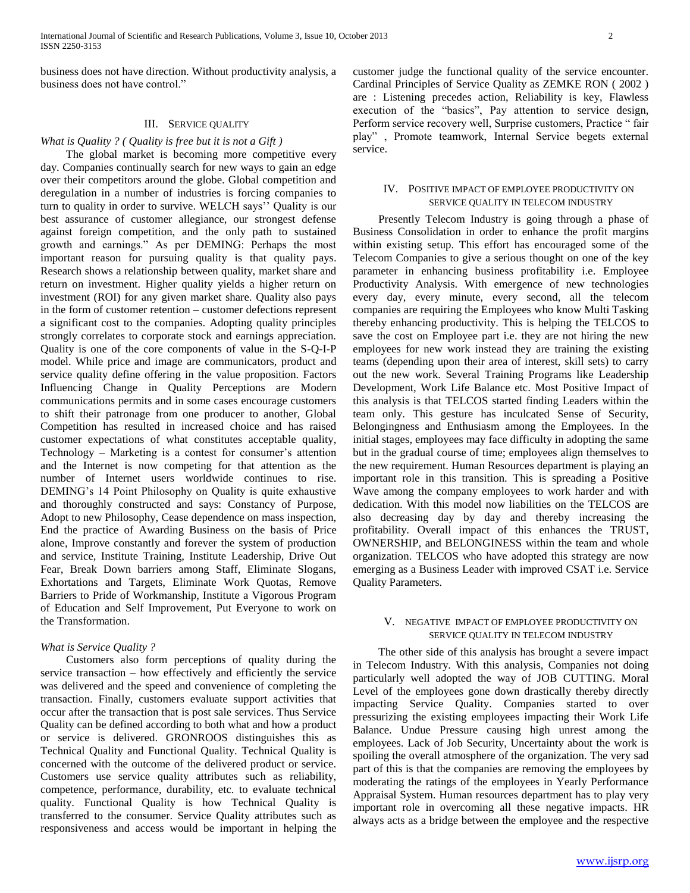International Journal of Scientific and Research Publications, Volume 3, Issue 10, October 2013 2 ISSN 2250-3153

business does not have direction. Without productivity analysis, a business does not have control."

## III. SERVICE QUALITY

#### *What is Quality ? ( Quality is free but it is not a Gift )*

 The global market is becoming more competitive every day. Companies continually search for new ways to gain an edge over their competitors around the globe. Global competition and deregulation in a number of industries is forcing companies to turn to quality in order to survive. WELCH says'' Quality is our best assurance of customer allegiance, our strongest defense against foreign competition, and the only path to sustained growth and earnings." As per DEMING: Perhaps the most important reason for pursuing quality is that quality pays. Research shows a relationship between quality, market share and return on investment. Higher quality yields a higher return on investment (ROI) for any given market share. Quality also pays in the form of customer retention – customer defections represent a significant cost to the companies. Adopting quality principles strongly correlates to corporate stock and earnings appreciation. Quality is one of the core components of value in the S-Q-I-P model. While price and image are communicators, product and service quality define offering in the value proposition. Factors Influencing Change in Quality Perceptions are Modern communications permits and in some cases encourage customers to shift their patronage from one producer to another, Global Competition has resulted in increased choice and has raised customer expectations of what constitutes acceptable quality, Technology – Marketing is a contest for consumer's attention and the Internet is now competing for that attention as the number of Internet users worldwide continues to rise. DEMING's 14 Point Philosophy on Quality is quite exhaustive and thoroughly constructed and says: Constancy of Purpose, Adopt to new Philosophy, Cease dependence on mass inspection, End the practice of Awarding Business on the basis of Price alone, Improve constantly and forever the system of production and service, Institute Training, Institute Leadership, Drive Out Fear, Break Down barriers among Staff, Eliminate Slogans, Exhortations and Targets, Eliminate Work Quotas, Remove Barriers to Pride of Workmanship, Institute a Vigorous Program of Education and Self Improvement, Put Everyone to work on the Transformation.

#### *What is Service Quality ?*

 Customers also form perceptions of quality during the service transaction – how effectively and efficiently the service was delivered and the speed and convenience of completing the transaction. Finally, customers evaluate support activities that occur after the transaction that is post sale services. Thus Service Quality can be defined according to both what and how a product or service is delivered. GRONROOS distinguishes this as Technical Quality and Functional Quality. Technical Quality is concerned with the outcome of the delivered product or service. Customers use service quality attributes such as reliability, competence, performance, durability, etc. to evaluate technical quality. Functional Quality is how Technical Quality is transferred to the consumer. Service Quality attributes such as responsiveness and access would be important in helping the customer judge the functional quality of the service encounter. Cardinal Principles of Service Quality as ZEMKE RON ( 2002 ) are : Listening precedes action, Reliability is key, Flawless execution of the "basics", Pay attention to service design, Perform service recovery well, Surprise customers, Practice " fair play" , Promote teamwork, Internal Service begets external service.

#### IV. POSITIVE IMPACT OF EMPLOYEE PRODUCTIVITY ON SERVICE QUALITY IN TELECOM INDUSTRY

 Presently Telecom Industry is going through a phase of Business Consolidation in order to enhance the profit margins within existing setup. This effort has encouraged some of the Telecom Companies to give a serious thought on one of the key parameter in enhancing business profitability i.e. Employee Productivity Analysis. With emergence of new technologies every day, every minute, every second, all the telecom companies are requiring the Employees who know Multi Tasking thereby enhancing productivity. This is helping the TELCOS to save the cost on Employee part i.e. they are not hiring the new employees for new work instead they are training the existing teams (depending upon their area of interest, skill sets) to carry out the new work. Several Training Programs like Leadership Development, Work Life Balance etc. Most Positive Impact of this analysis is that TELCOS started finding Leaders within the team only. This gesture has inculcated Sense of Security, Belongingness and Enthusiasm among the Employees. In the initial stages, employees may face difficulty in adopting the same but in the gradual course of time; employees align themselves to the new requirement. Human Resources department is playing an important role in this transition. This is spreading a Positive Wave among the company employees to work harder and with dedication. With this model now liabilities on the TELCOS are also decreasing day by day and thereby increasing the profitability. Overall impact of this enhances the TRUST, OWNERSHIP, and BELONGINESS within the team and whole organization. TELCOS who have adopted this strategy are now emerging as a Business Leader with improved CSAT i.e. Service Quality Parameters.

### V. NEGATIVE IMPACT OF EMPLOYEE PRODUCTIVITY ON SERVICE QUALITY IN TELECOM INDUSTRY

 The other side of this analysis has brought a severe impact in Telecom Industry. With this analysis, Companies not doing particularly well adopted the way of JOB CUTTING. Moral Level of the employees gone down drastically thereby directly impacting Service Quality. Companies started to over pressurizing the existing employees impacting their Work Life Balance. Undue Pressure causing high unrest among the employees. Lack of Job Security, Uncertainty about the work is spoiling the overall atmosphere of the organization. The very sad part of this is that the companies are removing the employees by moderating the ratings of the employees in Yearly Performance Appraisal System. Human resources department has to play very important role in overcoming all these negative impacts. HR always acts as a bridge between the employee and the respective